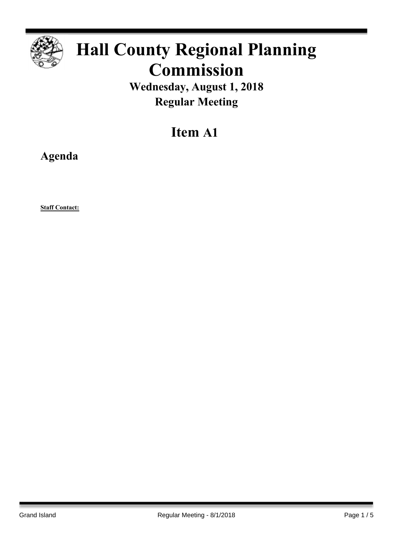

# **Hall County Regional Planning Commission**

**Wednesday, August 1, 2018 Regular Meeting**

# **Item A1**

**Agenda**

**Staff Contact:**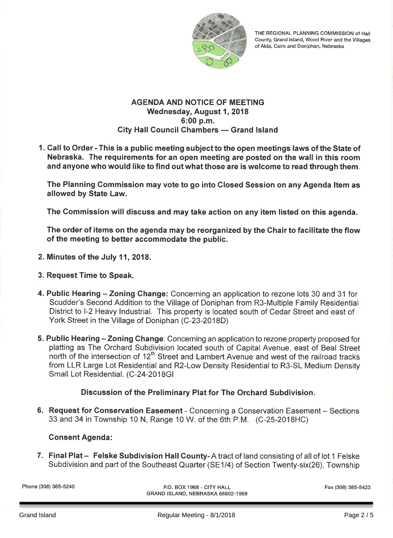

THE REGIONAL PLANNING COMMISSION of Hall County, Grand Island, Wood River and the Villages of Alda, Cairo and Doniphan, Nebraska

#### **AGENDA AND NOTICE OF MEETING** Wednesday, August 1, 2018 6:00 p.m. City Hall Council Chambers - Grand Island

1. Call to Order - This is a public meeting subject to the open meetings laws of the State of Nebraska. The requirements for an open meeting are posted on the wall in this room and anyone who would like to find out what those are is welcome to read through them.

The Planning Commission may vote to go into Closed Session on any Agenda Item as allowed by State Law.

The Commission will discuss and may take action on any item listed on this agenda.

The order of items on the agenda may be reorganized by the Chair to facilitate the flow of the meeting to better accommodate the public.

- 2. Minutes of the July 11, 2018.
- 3. Request Time to Speak.
- 4. Public Hearing Zoning Change: Concerning an application to rezone lots 30 and 31 for Scudder's Second Addition to the Village of Doniphan from R3-Multiple Family Residential District to I-2 Heavy Industrial. This property is located south of Cedar Street and east of York Street in the Village of Doniphan (C-23-2018D)
- 5. Public Hearing Zoning Change: Concerning an application to rezone property proposed for platting as The Orchard Subdivision located south of Capital Avenue, east of Beal Street north of the intersection of 12<sup>th</sup> Street and Lambert Avenue and west of the railroad tracks from LLR Large Lot Residential and R2-Low Density Residential to R3-SL Medium Density Small Lot Residential. (C-24-2018GI

# Discussion of the Preliminary Plat for The Orchard Subdivision.

6. Request for Conservation Easement - Concerning a Conservation Easement - Sections 33 and 34 in Township 10 N, Range 10 W. of the 6th P.M. (C-25-2018HC)

# **Consent Agenda:**

7. Final Plat - Felske Subdivision Hall County-A tract of land consisting of all of lot 1 Felske Subdivision and part of the Southeast Quarter (SE1/4) of Section Twenty-six(26), Township

Phone (308) 385-5240

P.O. BOX 1968 - CITY HALL GRAND ISLAND, NEBRASKA 68802-1968 Fax (308) 385-5423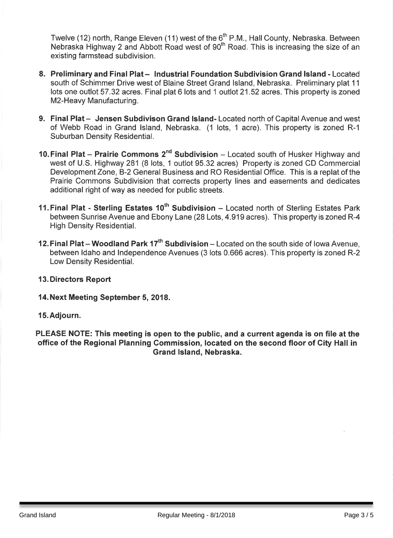Twelve (12) north, Range Eleven (11) west of the 6<sup>th</sup> P.M., Hall County, Nebraska. Between Nebraska Highway 2 and Abbott Road west of 90<sup>th</sup> Road. This is increasing the size of an existing farmstead subdivision.

- 8. Preliminary and Final Plat Industrial Foundation Subdivision Grand Island Located south of Schimmer Drive west of Blaine Street Grand Island, Nebraska. Preliminary plat 11 lots one outlot 57.32 acres. Final plat 6 lots and 1 outlot 21.52 acres. This property is zoned M2-Heavy Manufacturing.
- 9. Final Plat Jensen Subdivison Grand Island-Located north of Capital Avenue and west of Webb Road in Grand Island, Nebraska. (1 lots, 1 acre). This property is zoned R-1 Suburban Density Residential.
- 10. Final Plat Prairie Commons 2<sup>nd</sup> Subdivision Located south of Husker Highway and west of U.S. Highway 281 (8 lots, 1 outlot 95.32 acres) Property is zoned CD Commercial Development Zone, B-2 General Business and RO Residential Office. This is a replat of the Prairie Commons Subdivision that corrects property lines and easements and dedicates additional right of way as needed for public streets.
- 11. Final Plat Sterling Estates 10<sup>th</sup> Subdivision Located north of Sterling Estates Park between Sunrise Avenue and Ebony Lane (28 Lots, 4.919 acres). This property is zoned R-4 High Density Residential.
- 12. Final Plat Woodland Park 17<sup>th</sup> Subdivision Located on the south side of lowa Avenue. between Idaho and Independence Avenues (3 lots 0.666 acres). This property is zoned R-2 Low Density Residential.

# **13. Directors Report**

#### 14. Next Meeting September 5, 2018.

15. Adjourn.

PLEASE NOTE: This meeting is open to the public, and a current agenda is on file at the office of the Regional Planning Commission, located on the second floor of City Hall in Grand Island, Nebraska.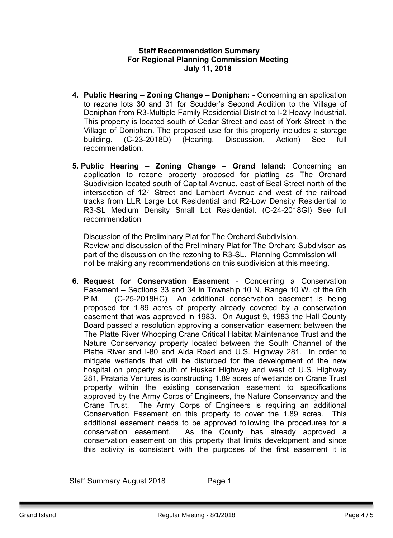#### **Staff Recommendation Summary For Regional Planning Commission Meeting July 11, 2018**

- **4. Public Hearing – Zoning Change – Doniphan:** Concerning an application to rezone lots 30 and 31 for Scudder's Second Addition to the Village of Doniphan from R3-Multiple Family Residential District to I-2 Heavy Industrial. This property is located south of Cedar Street and east of York Street in the Village of Doniphan. The proposed use for this property includes a storage building. (C-23-2018D) (Hearing, Discussion, Action) See full recommendation.
- **5. Public Hearing Zoning Change – Grand Island:** Concerning an application to rezone property proposed for platting as The Orchard Subdivision located south of Capital Avenue, east of Beal Street north of the intersection of 12<sup>th</sup> Street and Lambert Avenue and west of the railroad tracks from LLR Large Lot Residential and R2-Low Density Residential to R3-SL Medium Density Small Lot Residential. (C-24-2018GI) See full recommendation

Discussion of the Preliminary Plat for The Orchard Subdivision. Review and discussion of the Preliminary Plat for The Orchard Subdivison as part of the discussion on the rezoning to R3-SL. Planning Commission will not be making any recommendations on this subdivision at this meeting.

**6. Request for Conservation Easement** - Concerning a Conservation Easement – Sections 33 and 34 in Township 10 N, Range 10 W. of the 6th P.M. (C-25-2018HC) An additional conservation easement is being proposed for 1.89 acres of property already covered by a conservation easement that was approved in 1983. On August 9, 1983 the Hall County Board passed a resolution approving a conservation easement between the The Platte River Whooping Crane Critical Habitat Maintenance Trust and the Nature Conservancy property located between the South Channel of the Platte River and I-80 and Alda Road and U.S. Highway 281. In order to mitigate wetlands that will be disturbed for the development of the new hospital on property south of Husker Highway and west of U.S. Highway 281, Prataria Ventures is constructing 1.89 acres of wetlands on Crane Trust property within the existing conservation easement to specifications approved by the Army Corps of Engineers, the Nature Conservancy and the Crane Trust. The Army Corps of Engineers is requiring an additional Conservation Easement on this property to cover the 1.89 acres. This additional easement needs to be approved following the procedures for a conservation easement. As the County has already approved a conservation easement on this property that limits development and since this activity is consistent with the purposes of the first easement it is

Staff Summary August 2018 Page 1